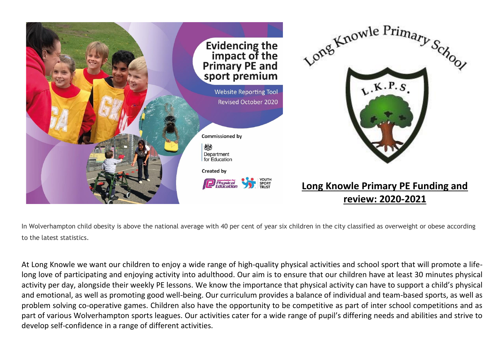

In Wolverhampton child obesity is above the national average with 40 per cent of year six children in the city classified as overweight or obese according to the latest statistics.

At Long Knowle we want our children to enjoy a wide range of high-quality physical activities and school sport that will promote a lifelong love of participating and enjoying activity into adulthood. Our aim is to ensure that our children have at least 30 minutes physical activity per day, alongside their weekly PE lessons. We know the importance that physical activity can have to support a child's physical and emotional, as well as promoting good well-being. Our curriculum provides a balance of individual and team-based sports, as well as problem solving co-operative games. Children also have the opportunity to be competitive as part of inter school competitions and as part of various Wolverhampton sports leagues. Our activities cater for a wide range of pupil's differing needs and abilities and strive to develop self-confidence in a range of different activities.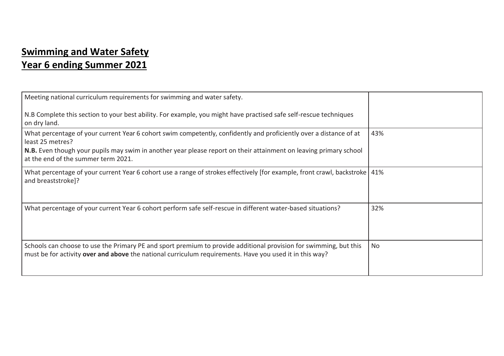## **Swimming and Water Safety Year 6 ending Summer 2021**

| Meeting national curriculum requirements for swimming and water safety.                                                                                                                                                      |     |
|------------------------------------------------------------------------------------------------------------------------------------------------------------------------------------------------------------------------------|-----|
| N.B Complete this section to your best ability. For example, you might have practised safe self-rescue techniques<br>on dry land.                                                                                            |     |
| What percentage of your current Year 6 cohort swim competently, confidently and proficiently over a distance of at<br>least 25 metres?                                                                                       | 43% |
| N.B. Even though your pupils may swim in another year please report on their attainment on leaving primary school<br>at the end of the summer term 2021.                                                                     |     |
| What percentage of your current Year 6 cohort use a range of strokes effectively [for example, front crawl, backstroke   41%<br>and breaststroke]?                                                                           |     |
| What percentage of your current Year 6 cohort perform safe self-rescue in different water-based situations?                                                                                                                  | 32% |
| Schools can choose to use the Primary PE and sport premium to provide additional provision for swimming, but this<br>must be for activity over and above the national curriculum requirements. Have you used it in this way? | No  |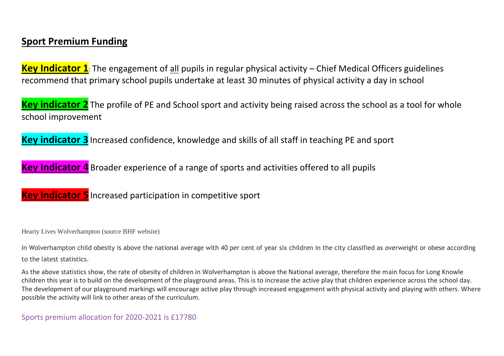## **Sport Premium Funding**

**Key Indicator 1:** The engagement of all pupils in regular physical activity – Chief Medical Officers guidelines recommend that primary school pupils undertake at least 30 minutes of physical activity a day in school

**Key indicator 2** The profile of PE and School sport and activity being raised across the school as a tool for whole school improvement

**Key indicator 3** Increased confidence, knowledge and skills of all staff in teaching PE and sport

**Key Indicator 4** Broader experience of a range of sports and activities offered to all pupils

**Key Indicator 5** Increased participation in competitive sport

Hearty Lives Wolverhampton (source BHF website)

In Wolverhampton child obesity is above the national average with 40 per cent of year six children in the city classified as overweight or obese according to the latest statistics.

As the above statistics show, the rate of obesity of children in Wolverhampton is above the National average, therefore the main focus for Long Knowle children this year is to build on the development of the playground areas. This is to increase the active play that children experience across the school day. The development of our playground markings will encourage active play through increased engagement with physical activity and playing with others. Where possible the activity will link to other areas of the curriculum.

Sports premium allocation for 2020-2021 is £17780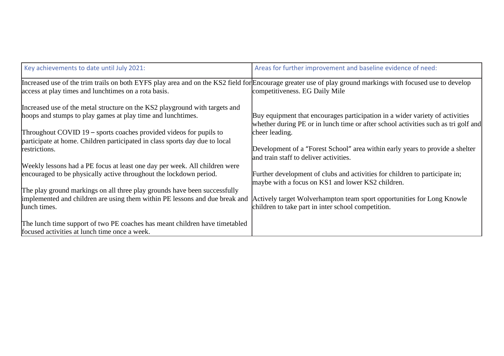| Key achievements to date until July 2021:                                                                                                                  | Areas for further improvement and baseline evidence of need:                       |
|------------------------------------------------------------------------------------------------------------------------------------------------------------|------------------------------------------------------------------------------------|
| Increased use of the trim trails on both EYFS play area and on the KS2 field for Encourage greater use of play ground markings with focused use to develop |                                                                                    |
| access at play times and lunchtimes on a rota basis.                                                                                                       | competitiveness. EG Daily Mile                                                     |
| Increased use of the metal structure on the KS2 playground with targets and                                                                                |                                                                                    |
| hoops and stumps to play games at play time and lunchtimes.                                                                                                | Buy equipment that encourages participation in a wider variety of activities       |
|                                                                                                                                                            | whether during PE or in lunch time or after school activities such as tri golf and |
| Throughout COVID $19$ – sports coaches provided videos for pupils to                                                                                       | cheer leading.                                                                     |
| participate at home. Children participated in class sports day due to local                                                                                |                                                                                    |
| restrictions.                                                                                                                                              | Development of a "Forest School" area within early years to provide a shelter      |
|                                                                                                                                                            | and train staff to deliver activities.                                             |
| Weekly lessons had a PE focus at least one day per week. All children were                                                                                 |                                                                                    |
| encouraged to be physically active throughout the lockdown period.                                                                                         | Further development of clubs and activities for children to participate in;        |
|                                                                                                                                                            | maybe with a focus on KS1 and lower KS2 children.                                  |
| The play ground markings on all three play grounds have been successfully                                                                                  |                                                                                    |
| implemented and children are using them within PE lessons and due break and                                                                                | Actively target Wolverhampton team sport opportunities for Long Knowle             |
| lunch times.                                                                                                                                               | children to take part in inter school competition.                                 |
| The lunch time support of two PE coaches has meant children have timetabled                                                                                |                                                                                    |
| focused activities at lunch time once a week.                                                                                                              |                                                                                    |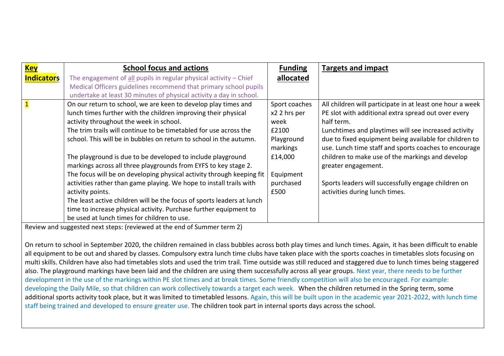| <b>Key</b>        | <b>School focus and actions</b>                                        | <b>Funding</b> | <b>Targets and impact</b>                                 |
|-------------------|------------------------------------------------------------------------|----------------|-----------------------------------------------------------|
| <b>Indicators</b> | The engagement of $all$ pupils in regular physical activity $-$ Chief  | allocated      |                                                           |
|                   | Medical Officers guidelines recommend that primary school pupils       |                |                                                           |
|                   | undertake at least 30 minutes of physical activity a day in school.    |                |                                                           |
|                   | On our return to school, we are keen to develop play times and         | Sport coaches  | All children will participate in at least one hour a week |
|                   | lunch times further with the children improving their physical         | x2 2 hrs per   | PE slot with additional extra spread out over every       |
|                   | activity throughout the week in school.                                | week           | half term.                                                |
|                   | The trim trails will continue to be timetabled for use across the      | £2100          | Lunchtimes and playtimes will see increased activity      |
|                   | school. This will be in bubbles on return to school in the autumn.     | Playground     | due to fixed equipment being available for children to    |
|                   |                                                                        | markings       | use. Lunch time staff and sports coaches to encourage     |
|                   | The playground is due to be developed to include playground            | £14,000        | children to make use of the markings and develop          |
|                   | markings across all three playgrounds from EYFS to key stage 2.        |                | greater engagement.                                       |
|                   | The focus will be on developing physical activity through keeping fit  | Equipment      |                                                           |
|                   | activities rather than game playing. We hope to install trails with    | purchased      | Sports leaders will successfully engage children on       |
|                   | activity points.                                                       | £500           | activities during lunch times.                            |
|                   | The least active children will be the focus of sports leaders at lunch |                |                                                           |
|                   | time to increase physical activity. Purchase further equipment to      |                |                                                           |
|                   | be used at lunch times for children to use.                            |                |                                                           |

Review and suggested next steps: (reviewed at the end of Summer term 2)

On return to school in September 2020, the children remained in class bubbles across both play times and lunch times. Again, it has been difficult to enable all equipment to be out and shared by classes. Compulsory extra lunch time clubs have taken place with the sports coaches in timetables slots focusing on multi skills. Children have also had timetables slots and used the trim trail. Time outside was still reduced and staggered due to lunch times being staggered also. The playground markings have been laid and the children are using them successfully across all year groups. Next year, there needs to be further development in the use of the markings within PE slot times and at break times. Some friendly competition will also be encouraged. For example: developing the Daily Mile, so that children can work collectively towards a target each week. When the children returned in the Spring term, some additional sports activity took place, but it was limited to timetabled lessons. Again, this will be built upon in the academic year 2021-2022, with lunch time staff being trained and developed to ensure greater use. The children took part in internal sports days across the school.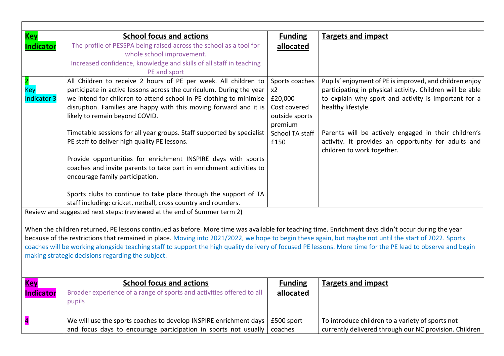| <b>Key</b>         | <b>School focus and actions</b>                                                                                                                             | <b>Funding</b>  | <b>Targets and impact</b>                                 |
|--------------------|-------------------------------------------------------------------------------------------------------------------------------------------------------------|-----------------|-----------------------------------------------------------|
| <b>Indicator</b>   | The profile of PESSPA being raised across the school as a tool for                                                                                          | allocated       |                                                           |
|                    | whole school improvement.                                                                                                                                   |                 |                                                           |
|                    | Increased confidence, knowledge and skills of all staff in teaching                                                                                         |                 |                                                           |
|                    | PE and sport                                                                                                                                                |                 |                                                           |
|                    | All Children to receive 2 hours of PE per week. All children to                                                                                             | Sports coaches  | Pupils' enjoyment of PE is improved, and children enjoy   |
| <b>Key</b>         | participate in active lessons across the curriculum. During the year                                                                                        | x2              | participating in physical activity. Children will be able |
| <b>Indicator 3</b> | we intend for children to attend school in PE clothing to minimise                                                                                          | £20,000         | to explain why sport and activity is important for a      |
|                    | disruption. Families are happy with this moving forward and it is                                                                                           | Cost covered    | healthy lifestyle.                                        |
|                    | likely to remain beyond COVID.                                                                                                                              | outside sports  |                                                           |
|                    |                                                                                                                                                             | premium         |                                                           |
|                    | Timetable sessions for all year groups. Staff supported by specialist                                                                                       | School TA staff | Parents will be actively engaged in their children's      |
|                    | PE staff to deliver high quality PE lessons.                                                                                                                | £150            | activity. It provides an opportunity for adults and       |
|                    |                                                                                                                                                             |                 | children to work together.                                |
|                    | Provide opportunities for enrichment INSPIRE days with sports                                                                                               |                 |                                                           |
|                    | coaches and invite parents to take part in enrichment activities to                                                                                         |                 |                                                           |
|                    | encourage family participation.                                                                                                                             |                 |                                                           |
|                    |                                                                                                                                                             |                 |                                                           |
|                    | Sports clubs to continue to take place through the support of TA                                                                                            |                 |                                                           |
|                    | staff including: cricket, netball, cross country and rounders.                                                                                              |                 |                                                           |
|                    | Review and suggested next steps: (reviewed at the end of Summer term 2)                                                                                     |                 |                                                           |
|                    |                                                                                                                                                             |                 |                                                           |
|                    | When the children returned, PE lessons continued as before. More time was available for teaching time. Enrichment days didn't occur during the year         |                 |                                                           |
|                    | because of the restrictions that remained in place. Moving into 2021/2022, we hope to begin these again, but maybe not until the start of 2022. Sports      |                 |                                                           |
|                    | coaches will be working alongside teaching staff to support the high quality delivery of focused PE lessons. More time for the PE lead to observe and begin |                 |                                                           |
|                    | making strategic decisions regarding the subject.                                                                                                           |                 |                                                           |
|                    |                                                                                                                                                             |                 |                                                           |
|                    |                                                                                                                                                             |                 |                                                           |
| <b>Key</b>         | <b>School focus and actions</b>                                                                                                                             | <b>Funding</b>  | <b>Targets and impact</b>                                 |
|                    |                                                                                                                                                             |                 |                                                           |
| <b>Indicator</b>   | Broader experience of a range of sports and activities offered to all                                                                                       | allocated       |                                                           |
|                    | pupils                                                                                                                                                      |                 |                                                           |
|                    |                                                                                                                                                             |                 |                                                           |
| 4                  | We will use the sports coaches to develop INSPIRE enrichment days                                                                                           | £500 sport      | To introduce children to a variety of sports not          |
|                    | and focus days to encourage participation in sports not usually                                                                                             | coaches         | currently delivered through our NC provision. Children    |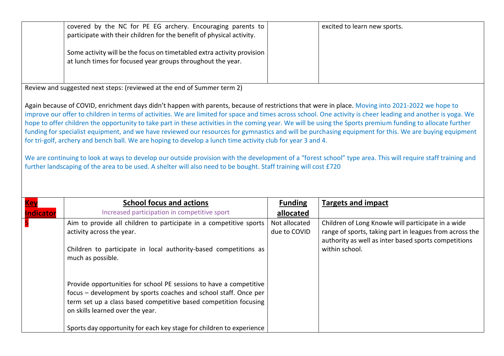| covered by the NC for PE EG archery. Encouraging parents to<br>participate with their children for the benefit of physical activity.  | excited to learn new sports. |
|---------------------------------------------------------------------------------------------------------------------------------------|------------------------------|
| Some activity will be the focus on timetabled extra activity provision<br>at lunch times for focused year groups throughout the year. |                              |

Review and suggested next steps: (reviewed at the end of Summer term 2)

Again because of COVID, enrichment days didn't happen with parents, because of restrictions that were in place. Moving into 2021-2022 we hope to improve our offer to children in terms of activities. We are limited for space and times across school. One activity is cheer leading and another is yoga. We hope to offer children the opportunity to take part in these activities in the coming year. We will be using the Sports premium funding to allocate further funding for specialist equipment, and we have reviewed our resources for gymnastics and will be purchasing equipment for this. We are buying equipment for tri-golf, archery and bench ball. We are hoping to develop a lunch time activity club for year 3 and 4.

We are continuing to look at ways to develop our outside provision with the development of a "forest school" type area. This will require staff training and further landscaping of the area to be used. A shelter will also need to be bought. Staff training will cost £720

| <b>Key</b>       | <b>School focus and actions</b>                                                                                                                                                                                                                | <b>Funding</b>                | <b>Targets and impact</b>                                                                                                                                             |
|------------------|------------------------------------------------------------------------------------------------------------------------------------------------------------------------------------------------------------------------------------------------|-------------------------------|-----------------------------------------------------------------------------------------------------------------------------------------------------------------------|
| <b>Indicator</b> | Increased participation in competitive sport                                                                                                                                                                                                   | allocated                     |                                                                                                                                                                       |
| 5                | Aim to provide all children to participate in a competitive sports<br>activity across the year.                                                                                                                                                | Not allocated<br>due to COVID | Children of Long Knowle will participate in a wide<br>range of sports, taking part in leagues from across the<br>authority as well as inter based sports competitions |
|                  | Children to participate in local authority-based competitions as<br>much as possible.                                                                                                                                                          |                               | within school.                                                                                                                                                        |
|                  | Provide opportunities for school PE sessions to have a competitive<br>focus – development by sports coaches and school staff. Once per<br>term set up a class based competitive based competition focusing<br>on skills learned over the year. |                               |                                                                                                                                                                       |
|                  | Sports day opportunity for each key stage for children to experience                                                                                                                                                                           |                               |                                                                                                                                                                       |